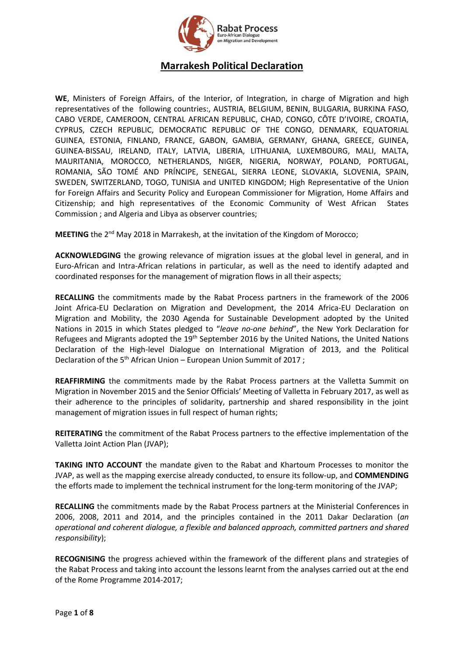

# **Marrakesh Political Declaration**

**WE**, Ministers of Foreign Affairs, of the Interior, of Integration, in charge of Migration and high representatives of the following countries:, AUSTRIA, BELGIUM, BENIN, BULGARIA, BURKINA FASO, CABO VERDE, CAMEROON, CENTRAL AFRICAN REPUBLIC, CHAD, CONGO, CÔTE D'IVOIRE, CROATIA, CYPRUS, CZECH REPUBLIC, DEMOCRATIC REPUBLIC OF THE CONGO, DENMARK, EQUATORIAL GUINEA, ESTONIA, FINLAND, FRANCE, GABON, GAMBIA, GERMANY, GHANA, GREECE, GUINEA, GUINEA-BISSAU, IRELAND, ITALY, LATVIA, LIBERIA, LITHUANIA, LUXEMBOURG, MALI, MALTA, MAURITANIA, MOROCCO, NETHERLANDS, NIGER, NIGERIA, NORWAY, POLAND, PORTUGAL, ROMANIA, SÃO TOMÉ AND PRÍNCIPE, SENEGAL, SIERRA LEONE, SLOVAKIA, SLOVENIA, SPAIN, SWEDEN, SWITZERLAND, TOGO, TUNISIA and UNITED KINGDOM; High Representative of the Union for Foreign Affairs and Security Policy and European Commissioner for Migration, Home Affairs and Citizenship; and high representatives of the Economic Community of West African States Commission ; and Algeria and Libya as observer countries;

**MEETING** the 2<sup>nd</sup> May 2018 in Marrakesh, at the invitation of the Kingdom of Morocco;

**ACKNOWLEDGING** the growing relevance of migration issues at the global level in general, and in Euro-African and Intra-African relations in particular, as well as the need to identify adapted and coordinated responses for the management of migration flows in all their aspects;

**RECALLING** the commitments made by the Rabat Process partners in the framework of the 2006 Joint Africa-EU Declaration on Migration and Development, the 2014 Africa-EU Declaration on Migration and Mobility, the 2030 Agenda for Sustainable Development adopted by the United Nations in 2015 in which States pledged to "*leave no-one behind*", the New York Declaration for Refugees and Migrants adopted the 19<sup>th</sup> September 2016 by the United Nations, the United Nations Declaration of the High-level Dialogue on International Migration of 2013, and the Political Declaration of the 5<sup>th</sup> African Union – European Union Summit of 2017;

**REAFFIRMING** the commitments made by the Rabat Process partners at the Valletta Summit on Migration in November 2015 and the Senior Officials' Meeting of Valletta in February 2017, as well as their adherence to the principles of solidarity, partnership and shared responsibility in the joint management of migration issues in full respect of human rights;

**REITERATING** the commitment of the Rabat Process partners to the effective implementation of the Valletta Joint Action Plan (JVAP);

**TAKING INTO ACCOUNT** the mandate given to the Rabat and Khartoum Processes to monitor the JVAP, as well as the mapping exercise already conducted, to ensure its follow-up, and **COMMENDING** the efforts made to implement the technical instrument for the long-term monitoring of the JVAP;

**RECALLING** the commitments made by the Rabat Process partners at the Ministerial Conferences in 2006, 2008, 2011 and 2014, and the principles contained in the 2011 Dakar Declaration (*an operational and coherent dialogue, a flexible and balanced approach, committed partners and shared responsibility*);

**RECOGNISING** the progress achieved within the framework of the different plans and strategies of the Rabat Process and taking into account the lessons learnt from the analyses carried out at the end of the Rome Programme 2014-2017;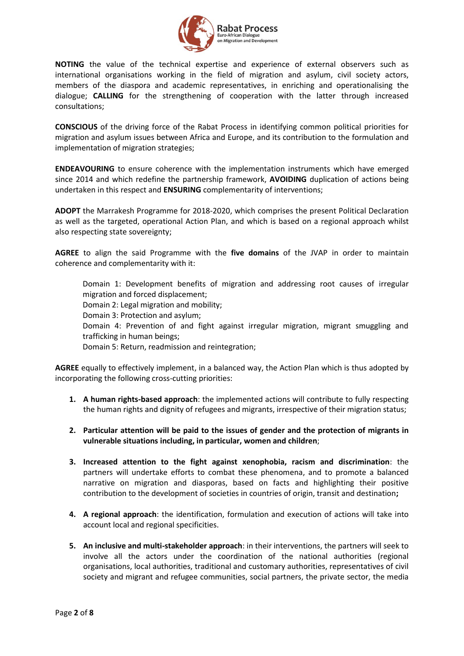

**NOTING** the value of the technical expertise and experience of external observers such as international organisations working in the field of migration and asylum, civil society actors, members of the diaspora and academic representatives, in enriching and operationalising the dialogue; **CALLING** for the strengthening of cooperation with the latter through increased consultations;

**CONSCIOUS** of the driving force of the Rabat Process in identifying common political priorities for migration and asylum issues between Africa and Europe, and its contribution to the formulation and implementation of migration strategies;

**ENDEAVOURING** to ensure coherence with the implementation instruments which have emerged since 2014 and which redefine the partnership framework, **AVOIDING** duplication of actions being undertaken in this respect and **ENSURING** complementarity of interventions;

**ADOPT** the Marrakesh Programme for 2018-2020, which comprises the present Political Declaration as well as the targeted, operational Action Plan, and which is based on a regional approach whilst also respecting state sovereignty;

**AGREE** to align the said Programme with the **five domains** of the JVAP in order to maintain coherence and complementarity with it:

Domain 1: Development benefits of migration and addressing root causes of irregular migration and forced displacement;

Domain 2: Legal migration and mobility;

Domain 3: Protection and asylum;

Domain 4: Prevention of and fight against irregular migration, migrant smuggling and trafficking in human beings;

Domain 5: Return, readmission and reintegration;

**AGREE** equally to effectively implement, in a balanced way, the Action Plan which is thus adopted by incorporating the following cross-cutting priorities:

- **1. A human rights-based approach**: the implemented actions will contribute to fully respecting the human rights and dignity of refugees and migrants, irrespective of their migration status;
- **2. Particular attention will be paid to the issues of gender and the protection of migrants in vulnerable situations including, in particular, women and children**;
- **3. Increased attention to the fight against xenophobia, racism and discrimination**: the partners will undertake efforts to combat these phenomena, and to promote a balanced narrative on migration and diasporas, based on facts and highlighting their positive contribution to the development of societies in countries of origin, transit and destination**;**
- **4. A regional approach**: the identification, formulation and execution of actions will take into account local and regional specificities.
- **5. An inclusive and multi-stakeholder approach**: in their interventions, the partners will seek to involve all the actors under the coordination of the national authorities (regional organisations, local authorities, traditional and customary authorities, representatives of civil society and migrant and refugee communities, social partners, the private sector, the media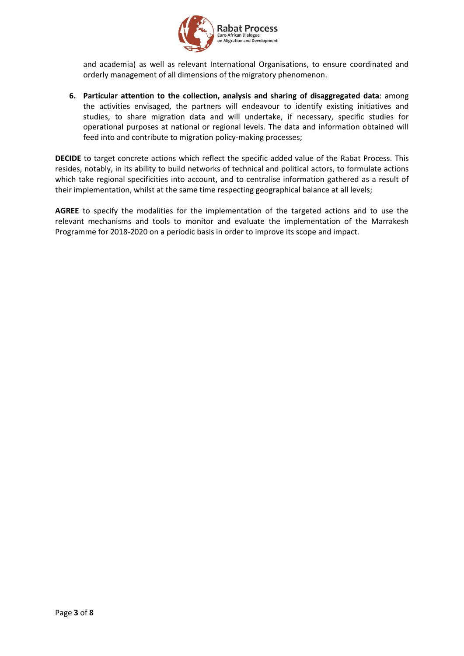

and academia) as well as relevant International Organisations, to ensure coordinated and orderly management of all dimensions of the migratory phenomenon.

**6. Particular attention to the collection, analysis and sharing of disaggregated data**: among the activities envisaged, the partners will endeavour to identify existing initiatives and studies, to share migration data and will undertake, if necessary, specific studies for operational purposes at national or regional levels. The data and information obtained will feed into and contribute to migration policy-making processes;

**DECIDE** to target concrete actions which reflect the specific added value of the Rabat Process. This resides, notably, in its ability to build networks of technical and political actors, to formulate actions which take regional specificities into account, and to centralise information gathered as a result of their implementation, whilst at the same time respecting geographical balance at all levels;

**AGREE** to specify the modalities for the implementation of the targeted actions and to use the relevant mechanisms and tools to monitor and evaluate the implementation of the Marrakesh Programme for 2018-2020 on a periodic basis in order to improve its scope and impact.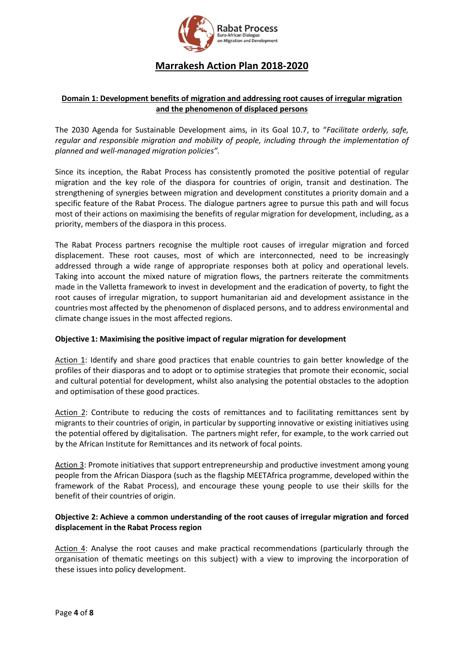

# **Marrakesh Action Plan 2018-2020**

## **Domain 1: Development benefits of migration and addressing root causes of irregular migration and the phenomenon of displaced persons**

The 2030 Agenda for Sustainable Development aims, in its Goal 10.7, to "*Facilitate orderly, safe, regular and responsible migration and mobility of people, including through the implementation of planned and well-managed migration policies".* 

Since its inception, the Rabat Process has consistently promoted the positive potential of regular migration and the key role of the diaspora for countries of origin, transit and destination. The strengthening of synergies between migration and development constitutes a priority domain and a specific feature of the Rabat Process. The dialogue partners agree to pursue this path and will focus most of their actions on maximising the benefits of regular migration for development, including, as a priority, members of the diaspora in this process.

The Rabat Process partners recognise the multiple root causes of irregular migration and forced displacement. These root causes, most of which are interconnected, need to be increasingly addressed through a wide range of appropriate responses both at policy and operational levels. Taking into account the mixed nature of migration flows, the partners reiterate the commitments made in the Valletta framework to invest in development and the eradication of poverty, to fight the root causes of irregular migration, to support humanitarian aid and development assistance in the countries most affected by the phenomenon of displaced persons, and to address environmental and climate change issues in the most affected regions.

#### **Objective 1: Maximising the positive impact of regular migration for development**

Action 1: Identify and share good practices that enable countries to gain better knowledge of the profiles of their diasporas and to adopt or to optimise strategies that promote their economic, social and cultural potential for development, whilst also analysing the potential obstacles to the adoption and optimisation of these good practices.

Action 2: Contribute to reducing the costs of remittances and to facilitating remittances sent by migrants to their countries of origin, in particular by supporting innovative or existing initiatives using the potential offered by digitalisation. The partners might refer, for example, to the work carried out by the African Institute for Remittances and its network of focal points.

Action 3: Promote initiatives that support entrepreneurship and productive investment among young people from the African Diaspora (such as the flagship MEETAfrica programme, developed within the framework of the Rabat Process), and encourage these young people to use their skills for the benefit of their countries of origin.

### **Objective 2: Achieve a common understanding of the root causes of irregular migration and forced displacement in the Rabat Process region**

Action 4: Analyse the root causes and make practical recommendations (particularly through the organisation of thematic meetings on this subject) with a view to improving the incorporation of these issues into policy development.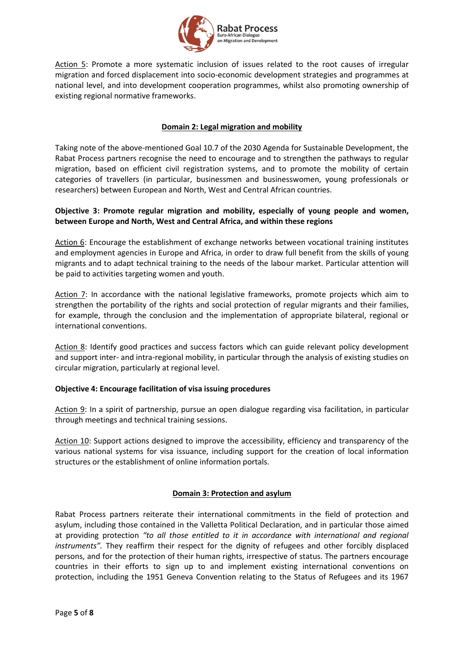

Action 5: Promote a more systematic inclusion of issues related to the root causes of irregular migration and forced displacement into socio-economic development strategies and programmes at national level, and into development cooperation programmes, whilst also promoting ownership of existing regional normative frameworks.

## **Domain 2: Legal migration and mobility**

Taking note of the above-mentioned Goal 10.7 of the 2030 Agenda for Sustainable Development, the Rabat Process partners recognise the need to encourage and to strengthen the pathways to regular migration, based on efficient civil registration systems, and to promote the mobility of certain categories of travellers (in particular, businessmen and businesswomen, young professionals or researchers) between European and North, West and Central African countries.

### **Objective 3: Promote regular migration and mobility, especially of young people and women, between Europe and North, West and Central Africa, and within these regions**

Action 6: Encourage the establishment of exchange networks between vocational training institutes and employment agencies in Europe and Africa, in order to draw full benefit from the skills of young migrants and to adapt technical training to the needs of the labour market. Particular attention will be paid to activities targeting women and youth.

Action 7: In accordance with the national legislative frameworks, promote projects which aim to strengthen the portability of the rights and social protection of regular migrants and their families, for example, through the conclusion and the implementation of appropriate bilateral, regional or international conventions.

Action 8: Identify good practices and success factors which can guide relevant policy development and support inter- and intra-regional mobility, in particular through the analysis of existing studies on circular migration, particularly at regional level.

#### **Objective 4: Encourage facilitation of visa issuing procedures**

Action 9: In a spirit of partnership, pursue an open dialogue regarding visa facilitation, in particular through meetings and technical training sessions.

Action 10: Support actions designed to improve the accessibility, efficiency and transparency of the various national systems for visa issuance, including support for the creation of local information structures or the establishment of online information portals.

## **Domain 3: Protection and asylum**

Rabat Process partners reiterate their international commitments in the field of protection and asylum, including those contained in the Valletta Political Declaration, and in particular those aimed at providing protection *"to all those entitled to it in accordance with international and regional instruments".* They reaffirm their respect for the dignity of refugees and other forcibly displaced persons, and for the protection of their human rights, irrespective of status. The partners encourage countries in their efforts to sign up to and implement existing international conventions on protection, including the 1951 Geneva Convention relating to the Status of Refugees and its 1967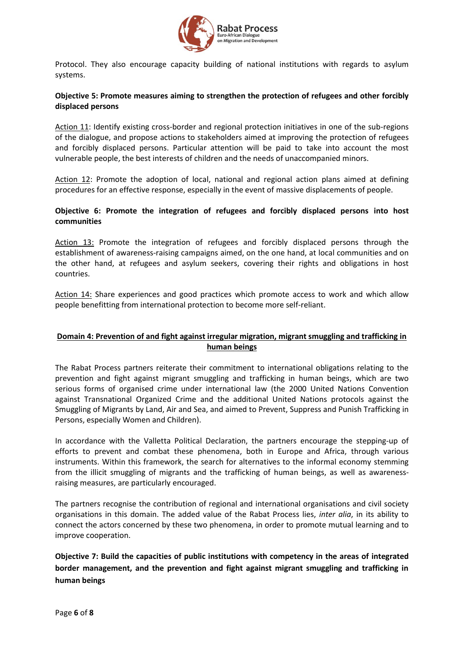

Protocol. They also encourage capacity building of national institutions with regards to asylum systems.

### **Objective 5: Promote measures aiming to strengthen the protection of refugees and other forcibly displaced persons**

Action 11: Identify existing cross-border and regional protection initiatives in one of the sub-regions of the dialogue, and propose actions to stakeholders aimed at improving the protection of refugees and forcibly displaced persons. Particular attention will be paid to take into account the most vulnerable people, the best interests of children and the needs of unaccompanied minors.

Action 12: Promote the adoption of local, national and regional action plans aimed at defining procedures for an effective response, especially in the event of massive displacements of people.

## **Objective 6: Promote the integration of refugees and forcibly displaced persons into host communities**

Action 13: Promote the integration of refugees and forcibly displaced persons through the establishment of awareness-raising campaigns aimed, on the one hand, at local communities and on the other hand, at refugees and asylum seekers, covering their rights and obligations in host countries.

Action 14: Share experiences and good practices which promote access to work and which allow people benefitting from international protection to become more self-reliant.

## **Domain 4: Prevention of and fight against irregular migration, migrant smuggling and trafficking in human beings**

The Rabat Process partners reiterate their commitment to international obligations relating to the prevention and fight against migrant smuggling and trafficking in human beings, which are two serious forms of organised crime under international law (the 2000 United Nations Convention against Transnational Organized Crime and the additional United Nations protocols against the Smuggling of Migrants by Land, Air and Sea, and aimed to Prevent, Suppress and Punish Trafficking in Persons, especially Women and Children).

In accordance with the Valletta Political Declaration, the partners encourage the stepping-up of efforts to prevent and combat these phenomena, both in Europe and Africa, through various instruments. Within this framework, the search for alternatives to the informal economy stemming from the illicit smuggling of migrants and the trafficking of human beings, as well as awarenessraising measures, are particularly encouraged.

The partners recognise the contribution of regional and international organisations and civil society organisations in this domain. The added value of the Rabat Process lies, *inter alia*, in its ability to connect the actors concerned by these two phenomena, in order to promote mutual learning and to improve cooperation.

**Objective 7: Build the capacities of public institutions with competency in the areas of integrated border management, and the prevention and fight against migrant smuggling and trafficking in human beings**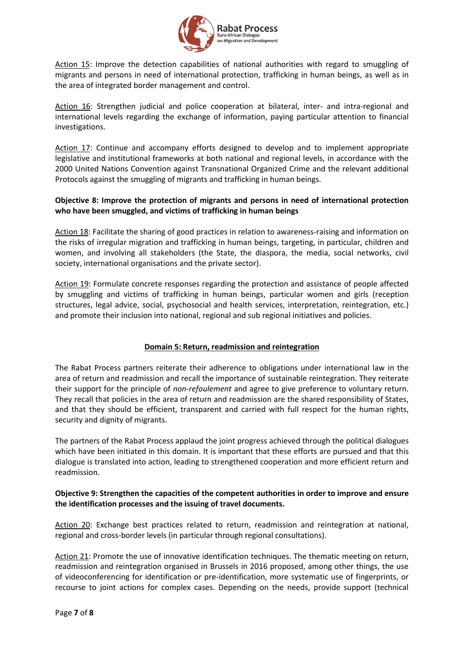

Action 15: Improve the detection capabilities of national authorities with regard to smuggling of migrants and persons in need of international protection, trafficking in human beings, as well as in the area of integrated border management and control.

Action 16: Strengthen judicial and police cooperation at bilateral, inter- and intra-regional and international levels regarding the exchange of information, paying particular attention to financial investigations.

Action 17: Continue and accompany efforts designed to develop and to implement appropriate legislative and institutional frameworks at both national and regional levels, in accordance with the 2000 United Nations Convention against Transnational Organized Crime and the relevant additional Protocols against the smuggling of migrants and trafficking in human beings.

## **Objective 8: Improve the protection of migrants and persons in need of international protection who have been smuggled, and victims of trafficking in human beings**

Action 18: Facilitate the sharing of good practices in relation to awareness-raising and information on the risks of irregular migration and trafficking in human beings, targeting, in particular, children and women, and involving all stakeholders (the State, the diaspora, the media, social networks, civil society, international organisations and the private sector).

Action 19: Formulate concrete responses regarding the protection and assistance of people affected by smuggling and victims of trafficking in human beings, particular women and girls (reception structures, legal advice, social, psychosocial and health services, interpretation, reintegration, etc.) and promote their inclusion into national, regional and sub regional initiatives and policies.

## **Domain 5: Return, readmission and reintegration**

The Rabat Process partners reiterate their adherence to obligations under international law in the area of return and readmission and recall the importance of sustainable reintegration. They reiterate their support for the principle of *non-refoulement* and agree to give preference to voluntary return. They recall that policies in the area of return and readmission are the shared responsibility of States, and that they should be efficient, transparent and carried with full respect for the human rights, security and dignity of migrants.

The partners of the Rabat Process applaud the joint progress achieved through the political dialogues which have been initiated in this domain. It is important that these efforts are pursued and that this dialogue is translated into action, leading to strengthened cooperation and more efficient return and readmission.

### **Objective 9: Strengthen the capacities of the competent authorities in order to improve and ensure the identification processes and the issuing of travel documents.**

Action 20: Exchange best practices related to return, readmission and reintegration at national, regional and cross-border levels (in particular through regional consultations).

Action 21: Promote the use of innovative identification techniques. The thematic meeting on return, readmission and reintegration organised in Brussels in 2016 proposed, among other things, the use of videoconferencing for identification or pre-identification, more systematic use of fingerprints, or recourse to joint actions for complex cases. Depending on the needs, provide support (technical